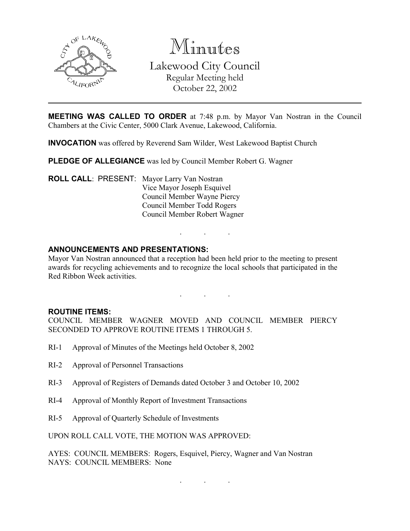

Minutes Lakewood City Council Regular Meeting held October 22, 2002

**MEETING WAS CALLED TO ORDER** at 7:48 p.m. by Mayor Van Nostran in the Council Chambers at the Civic Center, 5000 Clark Avenue, Lakewood, California.

INVOCATION was offered by Reverend Sam Wilder, West Lakewood Baptist Church

PLEDGE OF ALLEGIANCE was led by Council Member Robert G. Wagner

ROLL CALL: PRESENT: Mayor Larry Van Nostran Vice Mayor Joseph Esquivel Council Member Wayne Piercy Council Member Todd Rogers Council Member Robert Wagner

## ANNOUNCEMENTS AND PRESENTATIONS:

Mayor Van Nostran announced that a reception had been held prior to the meeting to present awards for recycling achievements and to recognize the local schools that participated in the Red Ribbon Week activities.

. . .

. . .

#### ROUTINE ITEMS:

COUNCIL MEMBER WAGNER MOVED AND COUNCIL MEMBER PIERCY SECONDED TO APPROVE ROUTINE ITEMS 1 THROUGH 5.

- RI-1 Approval of Minutes of the Meetings held October 8, 2002
- RI-2 Approval of Personnel Transactions
- RI-3 Approval of Registers of Demands dated October 3 and October 10, 2002
- RI-4 Approval of Monthly Report of Investment Transactions
- RI-5 Approval of Quarterly Schedule of Investments

UPON ROLL CALL VOTE, THE MOTION WAS APPROVED:

AYES: COUNCIL MEMBERS: Rogers, Esquivel, Piercy, Wagner and Van Nostran NAYS: COUNCIL MEMBERS: None

. . .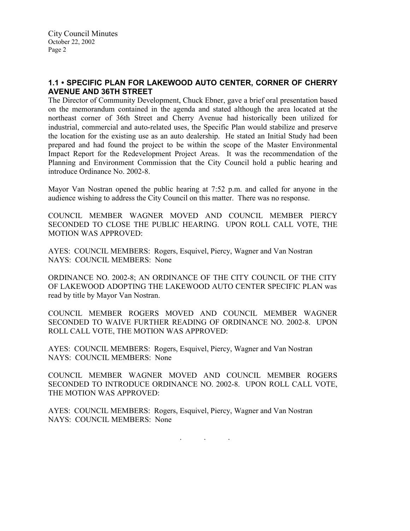# 1.1 • SPECIFIC PLAN FOR LAKEWOOD AUTO CENTER, CORNER OF CHERRY AVENUE AND 36TH STREET

The Director of Community Development, Chuck Ebner, gave a brief oral presentation based on the memorandum contained in the agenda and stated although the area located at the northeast corner of 36th Street and Cherry Avenue had historically been utilized for industrial, commercial and auto-related uses, the Specific Plan would stabilize and preserve the location for the existing use as an auto dealership. He stated an Initial Study had been prepared and had found the project to be within the scope of the Master Environmental Impact Report for the Redevelopment Project Areas. It was the recommendation of the Planning and Environment Commission that the City Council hold a public hearing and introduce Ordinance No. 2002-8.

Mayor Van Nostran opened the public hearing at 7:52 p.m. and called for anyone in the audience wishing to address the City Council on this matter. There was no response.

COUNCIL MEMBER WAGNER MOVED AND COUNCIL MEMBER PIERCY SECONDED TO CLOSE THE PUBLIC HEARING. UPON ROLL CALL VOTE, THE MOTION WAS APPROVED:

AYES: COUNCIL MEMBERS: Rogers, Esquivel, Piercy, Wagner and Van Nostran NAYS: COUNCIL MEMBERS: None

ORDINANCE NO. 2002-8; AN ORDINANCE OF THE CITY COUNCIL OF THE CITY OF LAKEWOOD ADOPTING THE LAKEWOOD AUTO CENTER SPECIFIC PLAN was read by title by Mayor Van Nostran.

COUNCIL MEMBER ROGERS MOVED AND COUNCIL MEMBER WAGNER SECONDED TO WAIVE FURTHER READING OF ORDINANCE NO. 2002-8. UPON ROLL CALL VOTE, THE MOTION WAS APPROVED:

AYES: COUNCIL MEMBERS: Rogers, Esquivel, Piercy, Wagner and Van Nostran NAYS: COUNCIL MEMBERS: None

COUNCIL MEMBER WAGNER MOVED AND COUNCIL MEMBER ROGERS SECONDED TO INTRODUCE ORDINANCE NO. 2002-8. UPON ROLL CALL VOTE, THE MOTION WAS APPROVED:

AYES: COUNCIL MEMBERS: Rogers, Esquivel, Piercy, Wagner and Van Nostran NAYS: COUNCIL MEMBERS: None

. . .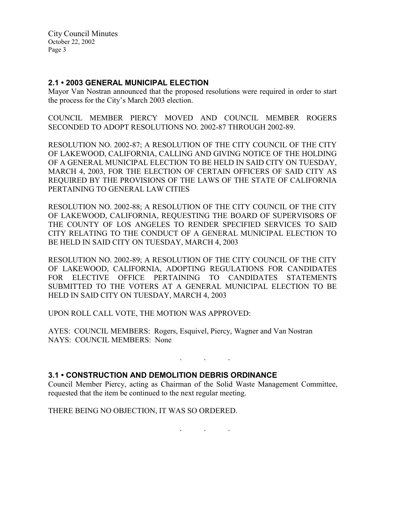City Council Minutes October 22, 2002 Page 3

### 2.1 • 2003 GENERAL MUNICIPAL ELECTION

Mayor Van Nostran announced that the proposed resolutions were required in order to start the process for the City's March 2003 election.

COUNCIL MEMBER PIERCY MOVED AND COUNCIL MEMBER ROGERS SECONDED TO ADOPT RESOLUTIONS NO. 2002-87 THROUGH 2002-89.

RESOLUTION NO. 2002-87; A RESOLUTION OF THE CITY COUNCIL OF THE CITY OF LAKEWOOD, CALIFORNIA, CALLING AND GIVING NOTICE OF THE HOLDING OF A GENERAL MUNICIPAL ELECTION TO BE HELD IN SAID CITY ON TUESDAY, MARCH 4, 2003, FOR THE ELECTION OF CERTAIN OFFICERS OF SAID CITY AS REQUIRED BY THE PROVISIONS OF THE LAWS OF THE STATE OF CALIFORNIA PERTAINING TO GENERAL LAW CITIES

RESOLUTION NO. 2002-88; A RESOLUTION OF THE CITY COUNCIL OF THE CITY OF LAKEWOOD, CALIFORNIA, REQUESTING THE BOARD OF SUPERVISORS OF THE COUNTY OF LOS ANGELES TO RENDER SPECIFIED SERVICES TO SAID CITY RELATING TO THE CONDUCT OF A GENERAL MUNICIPAL ELECTION TO BE HELD IN SAID CITY ON TUESDAY, MARCH 4, 2003

RESOLUTION NO. 2002-89; A RESOLUTION OF THE CITY COUNCIL OF THE CITY OF LAKEWOOD, CALIFORNIA, ADOPTING REGULATIONS FOR CANDIDATES FOR ELECTIVE OFFICE PERTAINING TO CANDIDATES STATEMENTS SUBMITTED TO THE VOTERS AT A GENERAL MUNICIPAL ELECTION TO BE HELD IN SAID CITY ON TUESDAY, MARCH 4, 2003

UPON ROLL CALL VOTE, THE MOTION WAS APPROVED:

AYES: COUNCIL MEMBERS: Rogers, Esquivel, Piercy, Wagner and Van Nostran NAYS: COUNCIL MEMBERS: None

## 3.1 • CONSTRUCTION AND DEMOLITION DEBRIS ORDINANCE

Council Member Piercy, acting as Chairman of the Solid Waste Management Committee, requested that the item be continued to the next regular meeting.

. . .

THERE BEING NO OBJECTION, IT WAS SO ORDERED.

. . .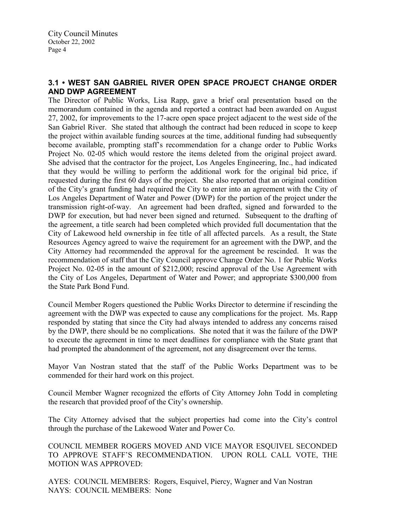# 3.1 • WEST SAN GABRIEL RIVER OPEN SPACE PROJECT CHANGE ORDER AND DWP AGREEMENT

The Director of Public Works, Lisa Rapp, gave a brief oral presentation based on the memorandum contained in the agenda and reported a contract had been awarded on August 27, 2002, for improvements to the 17-acre open space project adjacent to the west side of the San Gabriel River. She stated that although the contract had been reduced in scope to keep the project within available funding sources at the time, additional funding had subsequently become available, prompting staff's recommendation for a change order to Public Works Project No. 02-05 which would restore the items deleted from the original project award. She advised that the contractor for the project, Los Angeles Engineering, Inc., had indicated that they would be willing to perform the additional work for the original bid price, if requested during the first 60 days of the project. She also reported that an original condition of the City's grant funding had required the City to enter into an agreement with the City of Los Angeles Department of Water and Power (DWP) for the portion of the project under the transmission right-of-way. An agreement had been drafted, signed and forwarded to the DWP for execution, but had never been signed and returned. Subsequent to the drafting of the agreement, a title search had been completed which provided full documentation that the City of Lakewood held ownership in fee title of all affected parcels. As a result, the State Resources Agency agreed to waive the requirement for an agreement with the DWP, and the City Attorney had recommended the approval for the agreement be rescinded. It was the recommendation of staff that the City Council approve Change Order No. 1 for Public Works Project No. 02-05 in the amount of \$212,000; rescind approval of the Use Agreement with the City of Los Angeles, Department of Water and Power; and appropriate \$300,000 from the State Park Bond Fund.

Council Member Rogers questioned the Public Works Director to determine if rescinding the agreement with the DWP was expected to cause any complications for the project. Ms. Rapp responded by stating that since the City had always intended to address any concerns raised by the DWP, there should be no complications. She noted that it was the failure of the DWP to execute the agreement in time to meet deadlines for compliance with the State grant that had prompted the abandonment of the agreement, not any disagreement over the terms.

Mayor Van Nostran stated that the staff of the Public Works Department was to be commended for their hard work on this project.

Council Member Wagner recognized the efforts of City Attorney John Todd in completing the research that provided proof of the City's ownership.

The City Attorney advised that the subject properties had come into the City's control through the purchase of the Lakewood Water and Power Co.

COUNCIL MEMBER ROGERS MOVED AND VICE MAYOR ESQUIVEL SECONDED TO APPROVE STAFF'S RECOMMENDATION. UPON ROLL CALL VOTE, THE MOTION WAS APPROVED:

AYES: COUNCIL MEMBERS: Rogers, Esquivel, Piercy, Wagner and Van Nostran NAYS: COUNCIL MEMBERS: None